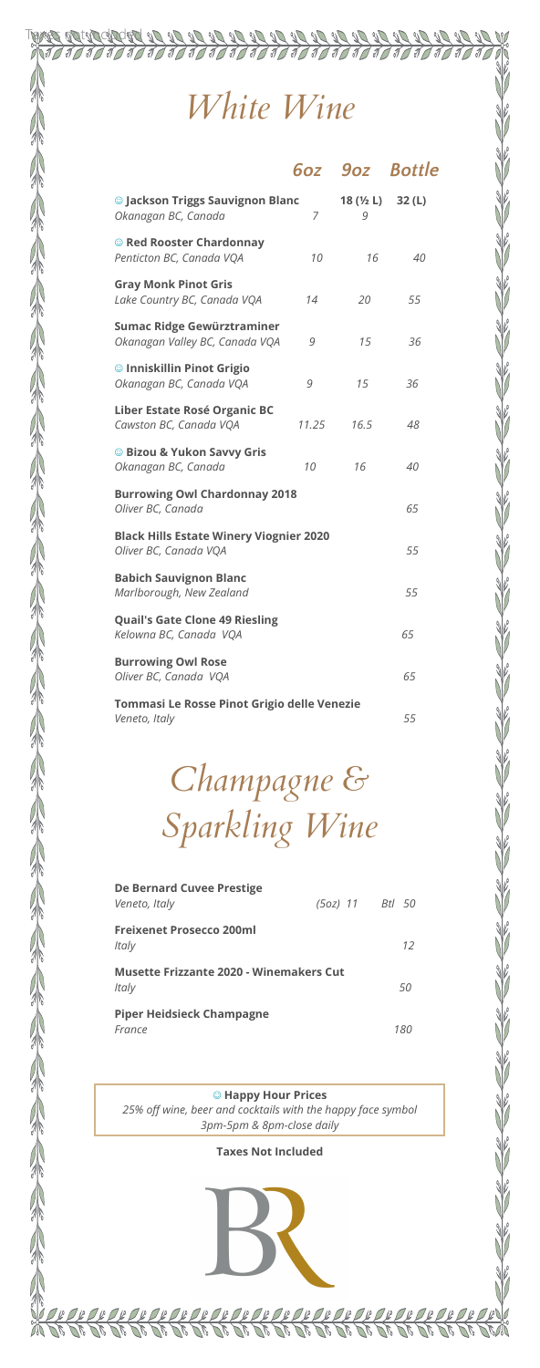## *White Wine*

<u> Calalalalalalalalala</u><br>Güødeded 10 10 10 10 10 10 10

|                                                                         |       |               | 60z 90z Bottle |
|-------------------------------------------------------------------------|-------|---------------|----------------|
| C Jackson Triggs Sauvignon Blanc<br>Okanagan BC, Canada                 | 7     | 18 (½ L)<br>9 | 32(L)          |
| <sup>©</sup> Red Rooster Chardonnay<br>Penticton BC, Canada VQA         | 10    | 16            | 40             |
| <b>Gray Monk Pinot Gris</b><br>Lake Country BC, Canada VQA              | 14    | 20            | 55             |
| Sumac Ridge Gewürztraminer<br>Okanagan Valley BC, Canada VQA            | 9     | 15            | 36             |
| © Inniskillin Pinot Grigio<br>Okanagan BC, Canada VQA                   | 9     | 15            | 36             |
| Liber Estate Rosé Organic BC<br>Cawston BC, Canada VQA                  | 11.25 | 16.5          | 48             |
| C Bizou & Yukon Savvy Gris<br>Okanagan BC, Canada                       | 10    | 16            | 40             |
| <b>Burrowing Owl Chardonnay 2018</b><br>Oliver BC, Canada               |       |               | 65             |
| <b>Black Hills Estate Winery Viognier 2020</b><br>Oliver BC, Canada VQA |       |               | 55             |
| <b>Babich Sauvignon Blanc</b><br>Marlborough, New Zealand               |       |               | 55             |
| <b>Quail's Gate Clone 49 Riesling</b><br>Kelowna BC, Canada VQA         |       |               | 65             |
| <b>Burrowing Owl Rose</b><br>Oliver BC, Canada VQA                      |       |               | 65             |
| Tommasi Le Rosse Pinot Grigio delle Venezie<br>Veneto, Italy            |       |               | 55             |

## *Champagne & Sparkling Wine*

| De Bernard Cuvee Prestige<br>Veneto, Italy              | (5oz) 11 Btl 50 |     |
|---------------------------------------------------------|-----------------|-----|
| <b>Freixenet Prosecco 200ml</b><br>Italy                |                 | 12  |
| <b>Musette Frizzante 2020 - Winemakers Cut</b><br>Italy |                 | 50  |
| <b>Piper Heidsieck Champagne</b><br>France              |                 | 18( |

**C** Happy Hour Prices *25% off wine, beer and cocktails with the happy face symbol 3pm-5pm & 8pm-close daily*

**Taxes Not Included**



 $\frac{7}{10}$ 

<u>ARARAR</u><br>DRARAR

 $\frac{2}{\sqrt{6}}$ 

<u>26 26 26 26 27 27</u><br>26 27 26 27 27 27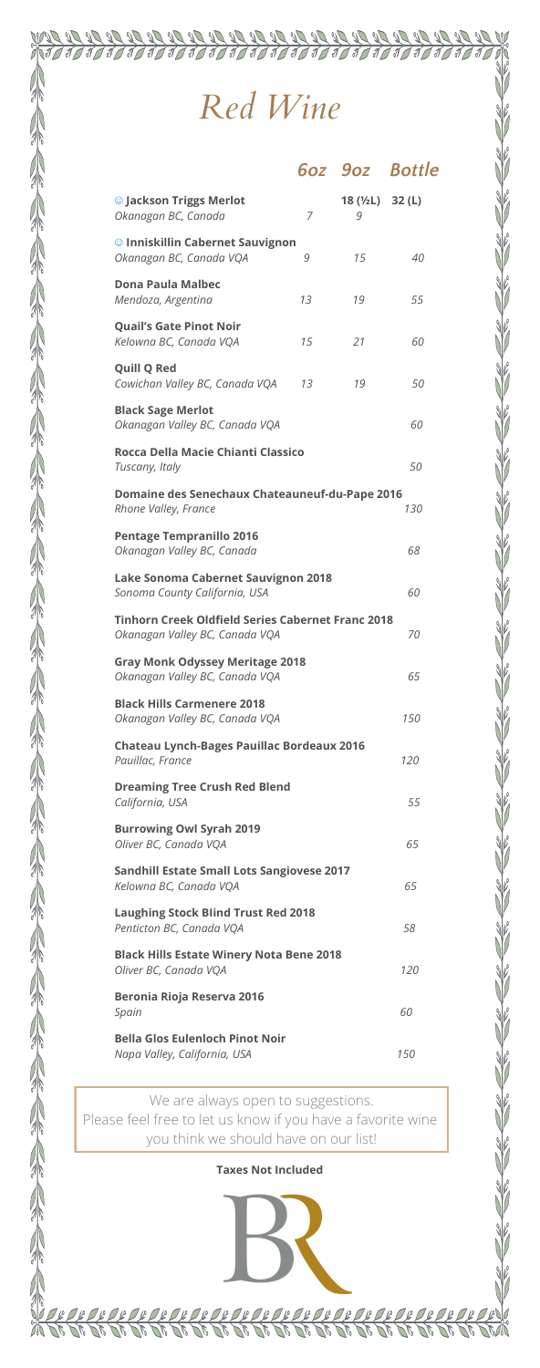## *Red Wine*

 $\frac{20}{3}$ 

 $\frac{2}{\sqrt[3]{2}}$  $\frac{2}{\sqrt[3]{2}}$  $\frac{2}{\sqrt[3]{2}}$ 

TO TO TO TO TO TO TO TO

 $\frac{2}{\sqrt[3]{2}}$ 

 $\mathbb{Z}$ 

|                                                                                     |    |                       | <b>60z 90z Bottle</b> |
|-------------------------------------------------------------------------------------|----|-----------------------|-----------------------|
| <b>Subsom Triggs Merlot</b><br>Okanagan BC, Canada                                  | 7  | 18 (1/2L) 32 (L)<br>9 |                       |
| © Inniskillin Cabernet Sauvignon<br>Okanagan BC, Canada VQA                         | 9  | 15                    | 40                    |
| <b>Dona Paula Malbec</b><br>Mendoza, Argentina                                      | 13 | 19                    | 55                    |
| <b>Quail's Gate Pinot Noir</b><br>Kelowna BC, Canada VQA                            | 15 | 21                    | 60                    |
| <b>Quill Q Red</b><br>Cowichan Valley BC, Canada VQA                                | 13 | 19                    | 50                    |
| <b>Black Sage Merlot</b><br>Okanagan Valley BC, Canada VQA                          |    |                       | 60                    |
| Rocca Della Macie Chianti Classico<br>Tuscany, Italy                                |    |                       | 50                    |
| Domaine des Senechaux Chateauneuf-du-Pape 2016<br>Rhone Valley, France              |    |                       | 130                   |
| <b>Pentage Tempranillo 2016</b><br>Okanagan Valley BC, Canada                       |    |                       | 68                    |
| Lake Sonoma Cabernet Sauvignon 2018<br>Sonoma County California, USA                |    |                       | 60                    |
| Tinhorn Creek Oldfield Series Cabernet Franc 2018<br>Okanagan Valley BC, Canada VQA |    |                       | 70                    |
| <b>Gray Monk Odyssey Meritage 2018</b><br>Okanagan Valley BC, Canada VQA            |    |                       | 65                    |
| <b>Black Hills Carmenere 2018</b><br>Okanagan Valley BC, Canada VQA                 |    |                       | 150                   |
| Chateau Lynch-Bages Pauillac Bordeaux 2016<br>Pauillac, France                      |    |                       | 120                   |
| <b>Dreaming Tree Crush Red Blend</b><br>California, USA                             |    |                       | 55                    |
| <b>Burrowing Owl Syrah 2019</b><br>Oliver BC, Canada VQA                            |    |                       | 65                    |
| Sandhill Estate Small Lots Sangiovese 2017<br>Kelowna BC, Canada VQA                |    |                       | 65                    |
| <b>Laughing Stock Blind Trust Red 2018</b><br>Penticton BC, Canada VQA              |    |                       | 58                    |
| <b>Black Hills Estate Winery Nota Bene 2018</b><br>Oliver BC, Canada VQA            |    |                       | 120                   |
| Beronia Rioja Reserva 2016<br>Spain                                                 |    |                       | 60                    |
| <b>Bella Glos Eulenloch Pinot Noir</b><br>Napa Valley, California, USA              |    |                       | 150                   |

We are always open to suggestions. Please feel free to let us know if you have a favorite wine you think we should have on our list!

**Taxes Not Included**

<u>24 24 24 24</u><br>To Do Do Do

JE **Te** He

**SE** 

<u>ARALAS</u>